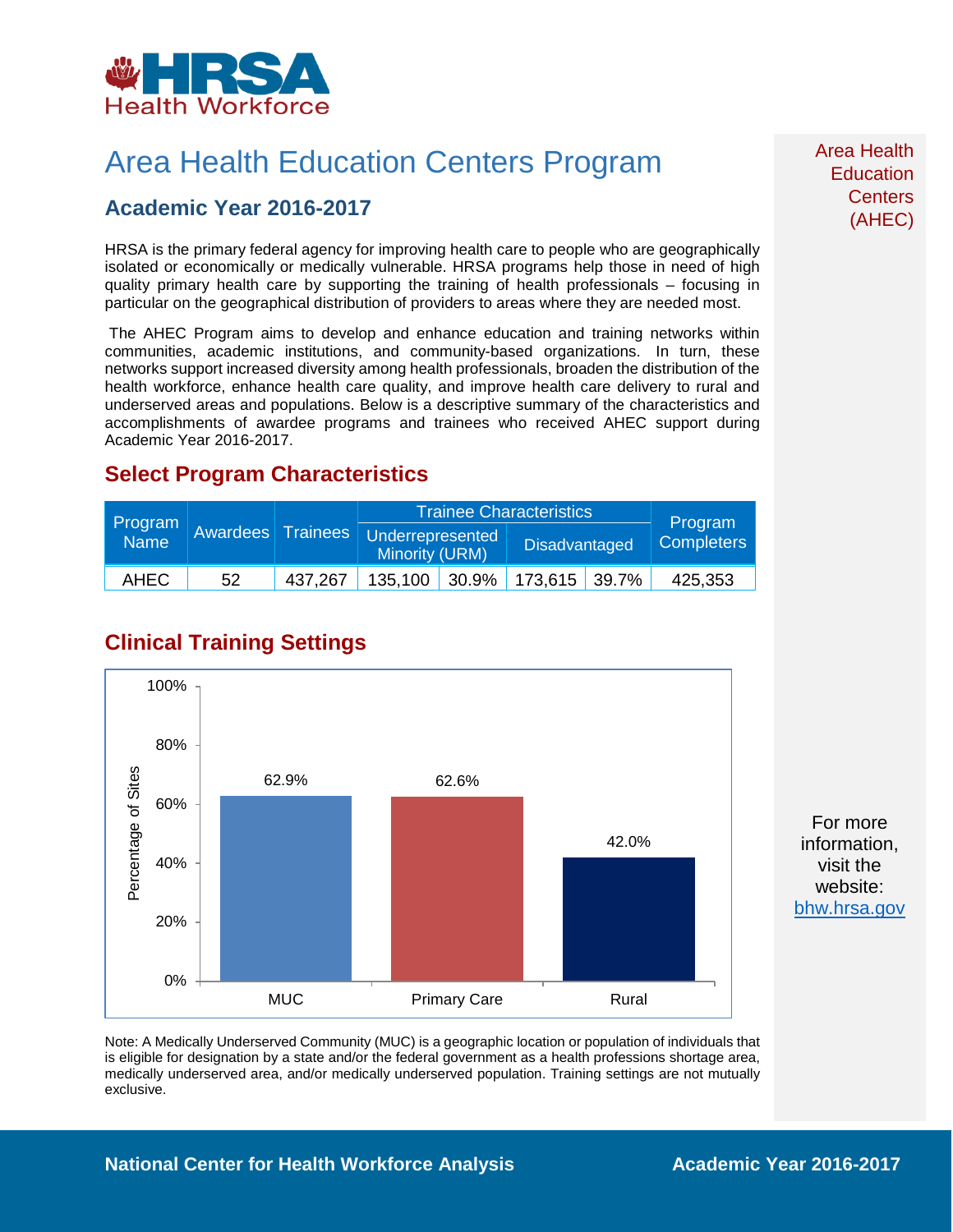

## Area Health Education Centers Program

### **Academic Year 2016-2017**

HRSA is the primary federal agency for improving health care to people who are geographically isolated or economically or medically vulnerable. HRSA programs help those in need of high quality primary health care by supporting the training of health professionals – focusing in particular on the geographical distribution of providers to areas where they are needed most.

The AHEC Program aims to develop and enhance education and training networks within communities, academic institutions, and community-based organizations. In turn, these networks support increased diversity among health professionals, broaden the distribution of the health workforce, enhance health care quality, and improve health care delivery to rural and underserved areas and populations. Below is a descriptive summary of the characteristics and accomplishments of awardee programs and trainees who received AHEC support during Academic Year 2016-2017.

### **Select Program Characteristics**

| Program<br><b>Name</b> | <b>Awardees</b> Trainees |         | <b>Trainee Characteristics</b>     |  |                             |  | Program           |
|------------------------|--------------------------|---------|------------------------------------|--|-----------------------------|--|-------------------|
|                        |                          |         | Underrepresented<br>Minority (URM) |  | <b>Disadvantaged</b>        |  | <b>Completers</b> |
| <b>AHEC</b>            | 52                       | 437.267 |                                    |  | 135,100 30.9% 173,615 39.7% |  | 425,353           |

## **Clinical Training Settings**



Note: A Medically Underserved Community (MUC) is a geographic location or population of individuals that is eligible for designation by a state and/or the federal government as a health professions shortage area, medically underserved area, and/or medically underserved population. Training settings are not mutually exclusive.